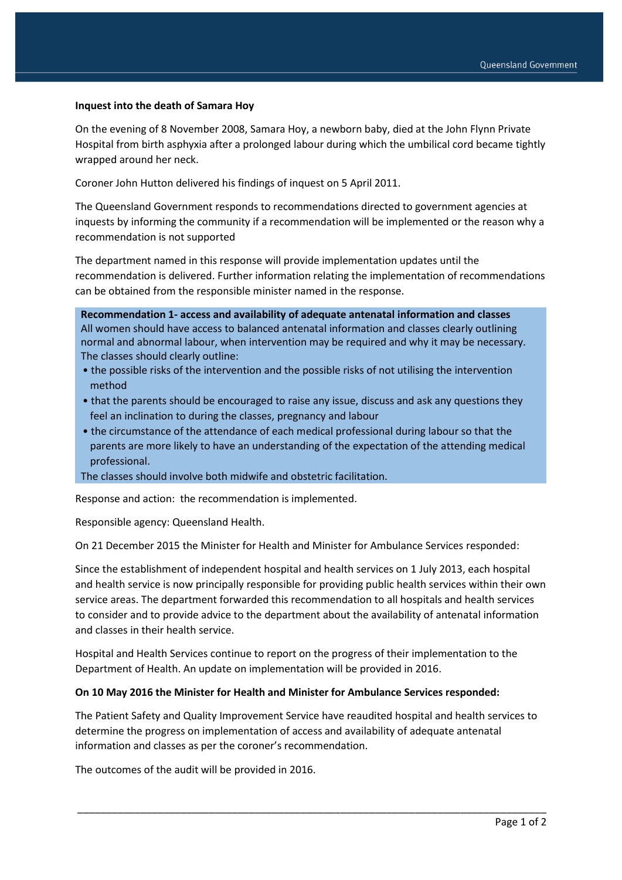### **Inquest into the death of Samara Hoy**

On the evening of 8 November 2008, Samara Hoy, a newborn baby, died at the John Flynn Private Hospital from birth asphyxia after a prolonged labour during which the umbilical cord became tightly wrapped around her neck.

Coroner John Hutton delivered his findings of inquest on 5 April 2011.

The Queensland Government responds to recommendations directed to government agencies at inquests by informing the community if a recommendation will be implemented or the reason why a recommendation is not supported

The department named in this response will provide implementation updates until the recommendation is delivered. Further information relating the implementation of recommendations can be obtained from the responsible minister named in the response.

**Recommendation 1- access and availability of adequate antenatal information and classes** All women should have access to balanced antenatal information and classes clearly outlining normal and abnormal labour, when intervention may be required and why it may be necessary. The classes should clearly outline:

- the possible risks of the intervention and the possible risks of not utilising the intervention method
- that the parents should be encouraged to raise any issue, discuss and ask any questions they feel an inclination to during the classes, pregnancy and labour
- the circumstance of the attendance of each medical professional during labour so that the parents are more likely to have an understanding of the expectation of the attending medical professional.

The classes should involve both midwife and obstetric facilitation.

Response and action: the recommendation is implemented.

Responsible agency: Queensland Health.

On 21 December 2015 the Minister for Health and Minister for Ambulance Services responded:

Since the establishment of independent hospital and health services on 1 July 2013, each hospital and health service is now principally responsible for providing public health services within their own service areas. The department forwarded this recommendation to all hospitals and health services to consider and to provide advice to the department about the availability of antenatal information and classes in their health service.

Hospital and Health Services continue to report on the progress of their implementation to the Department of Health. An update on implementation will be provided in 2016.

#### **On 10 May 2016 the Minister for Health and Minister for Ambulance Services responded:**

The Patient Safety and Quality Improvement Service have reaudited hospital and health services to determine the progress on implementation of access and availability of adequate antenatal information and classes as per the coroner's recommendation.

\_\_\_\_\_\_\_\_\_\_\_\_\_\_\_\_\_\_\_\_\_\_\_\_\_\_\_\_\_\_\_\_\_\_\_\_\_\_\_\_\_\_\_\_\_\_\_\_\_\_\_\_\_\_\_\_\_\_\_\_\_\_\_\_\_\_\_\_\_\_\_\_\_\_\_\_\_\_\_\_\_\_

The outcomes of the audit will be provided in 2016.